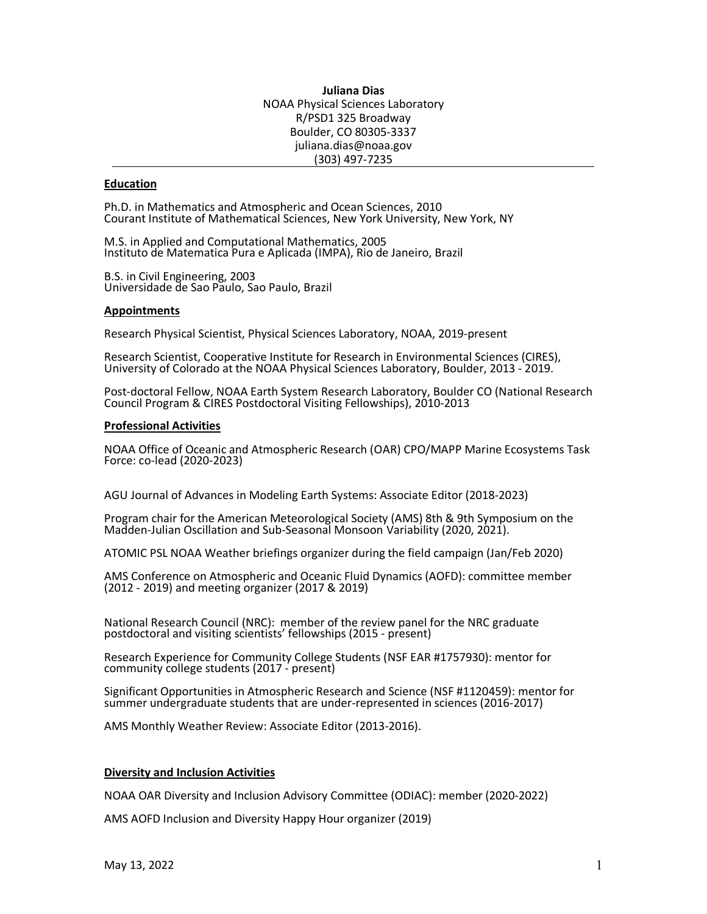**Juliana Dias** NOAA Physical Sciences Laboratory R/PSD1 325 Broadway Boulder, CO 80305-3337 juliana.dias@noaa.gov (303) 497-7235

# **Education**

Ph.D. in Mathematics and Atmospheric and Ocean Sciences, 2010 Courant Institute of Mathematical Sciences, New York University, New York, NY

M.S. in Applied and Computational Mathematics, 2005 Instituto de Matematica Pura e Aplicada (IMPA), Rio de Janeiro, Brazil

B.S. in Civil Engineering, 2003 Universidade de Sao Paulo, Sao Paulo, Brazil

#### **Appointments**

Research Physical Scientist, Physical Sciences Laboratory, NOAA, 2019-present

Research Scientist, Cooperative Institute for Research in Environmental Sciences (CIRES), University of Colorado at the NOAA Physical Sciences Laboratory, Boulder, 2013 - 2019.

Post-doctoral Fellow, NOAA Earth System Research Laboratory, Boulder CO (National Research Council Program & CIRES Postdoctoral Visiting Fellowships), 2010-2013

#### **Professional Activities**

NOAA Office of Oceanic and Atmospheric Research (OAR) CPO/MAPP Marine Ecosystems Task Force: co-lead (2020-2023)

AGU Journal of Advances in Modeling Earth Systems: Associate Editor (2018-2023)

Program chair for the American Meteorological Society (AMS) 8th & 9th Symposium on the Madden-Julian Oscillation and Sub-Seasonal Monsoon Variability (2020, 2021).

ATOMIC PSL NOAA Weather briefings organizer during the field campaign (Jan/Feb 2020)

AMS Conference on Atmospheric and Oceanic Fluid Dynamics (AOFD): committee member (2012 - 2019) and meeting organizer (2017 & 2019)

National Research Council (NRC): member of the review panel for the NRC graduate postdoctoral and visiting scientists' fellowships (2015 - present)

Research Experience for Community College Students (NSF EAR #1757930): mentor for community college students (2017 - present)

Significant Opportunities in Atmospheric Research and Science (NSF #1120459): mentor for summer undergraduate students that are under-represented in sciences (2016-2017)

AMS Monthly Weather Review: Associate Editor (2013-2016).

#### **Diversity and Inclusion Activities**

NOAA OAR Diversity and Inclusion Advisory Committee (ODIAC): member (2020-2022)

AMS AOFD Inclusion and Diversity Happy Hour organizer (2019)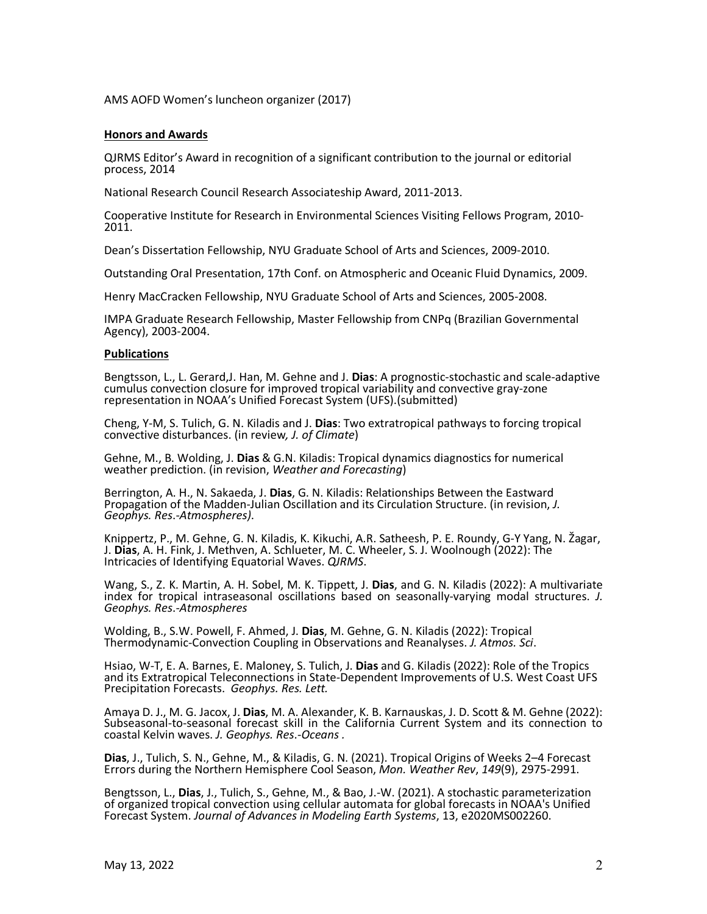AMS AOFD Women's luncheon organizer (2017)

### **Honors and Awards**

QJRMS Editor's Award in recognition of a significant contribution to the journal or editorial process, 2014

National Research Council Research Associateship Award, 2011-2013.

Cooperative Institute for Research in Environmental Sciences Visiting Fellows Program, 2010- 2011.

Dean's Dissertation Fellowship, NYU Graduate School of Arts and Sciences, 2009-2010.

Outstanding Oral Presentation, 17th Conf. on Atmospheric and Oceanic Fluid Dynamics, 2009.

Henry MacCracken Fellowship, NYU Graduate School of Arts and Sciences, 2005-2008.

IMPA Graduate Research Fellowship, Master Fellowship from CNPq (Brazilian Governmental Agency), 2003-2004.

## **Publications**

Bengtsson, L., L. Gerard,J. Han, M. Gehne and J. **Dias**: A prognostic-stochastic and scale-adaptive cumulus convection closure for improved tropical variability and convective gray-zone representation in NOAA's Unified Forecast System (UFS).(submitted)

Cheng, Y-M, S. Tulich, G. N. Kiladis and J. **Dias**: Two extratropical pathways to forcing tropical convective disturbances. (in review*, J. of Climate*)

Gehne, M., B. Wolding, J. **Dias** & G.N. Kiladis: Tropical dynamics diagnostics for numerical weather prediction. (in revision, *Weather and Forecasting*)

Berrington, A. H., N. Sakaeda, J. **Dias**, G. N. Kiladis: Relationships Between the Eastward Propagation of the Madden-Julian Oscillation and its Circulation Structure. (in revision, *J. Geophys. Res*.-*Atmospheres)*.

Knippertz, P., M. Gehne, G. N. Kiladis, K. Kikuchi, A.R. Satheesh, P. E. Roundy, G-Y Yang, N. Žagar, J. **Dias**, A. H. Fink, J. Methven, A. Schlueter, M. C. Wheeler, S. J. Woolnough (2022): The Intricacies of Identifying Equatorial Waves. *QJRMS*.

Wang, S., Z. K. Martin, A. H. Sobel, M. K. Tippett, J. **Dias**, and G. N. Kiladis (2022): A multivariate index for tropical intraseasonal oscillations based on seasonally-varying modal structures. *J. Geophys. Res*.-*Atmospheres*

Wolding, B., S.W. Powell, F. Ahmed, J. **Dias**, M. Gehne, G. N. Kiladis (2022): Tropical Thermodynamic-Convection Coupling in Observations and Reanalyses. *J. Atmos. Sci*.

Hsiao, W-T, E. A. Barnes, E. Maloney, S. Tulich, J. **Dias** and G. Kiladis (2022): Role of the Tropics and its Extratropical Teleconnections in State-Dependent Improvements of U.S. West Coast UFS Precipitation Forecasts. *Geophys. Res. Lett.*

Amaya D. J., M. G. Jacox, J. **Dias**, M. A. Alexander, K. B. Karnauskas, J. D. Scott & M. Gehne (2022): Subseasonal-to-seasonal forecast skill in the California Current System and its connection to coastal Kelvin waves. *J. Geophys. Res*.-*Oceans .*

**Dias**, J., Tulich, S. N., Gehne, M., & Kiladis, G. N. (2021). Tropical Origins of Weeks 2–4 Forecast Errors during the Northern Hemisphere Cool Season, *Mon. Weather Rev*, *149*(9), 2975-2991.

Bengtsson, L., **Dias**, J., Tulich, S., Gehne, M., & Bao, J.-W. (2021). A stochastic parameterization of organized tropical convection using cellular automata for global forecasts in NOAA's Unified Forecast System. *Journal of Advances in Modeling Earth Systems*, 13, e2020MS002260.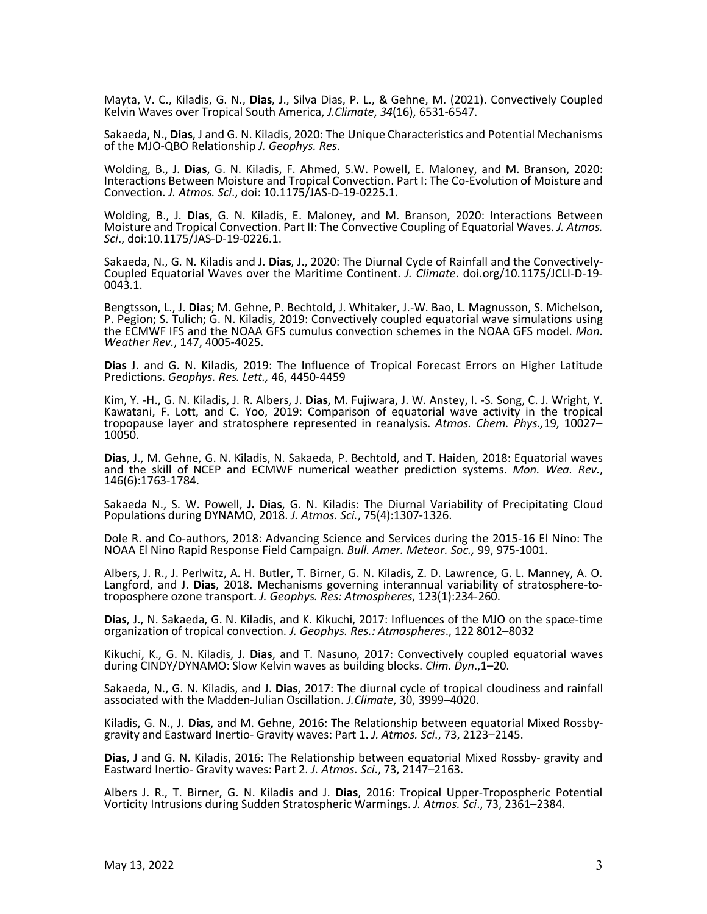Mayta, V. C., Kiladis, G. N., **Dias**, J., Silva Dias, P. L., & Gehne, M. (2021). Convectively Coupled Kelvin Waves over Tropical South America, *J.Climate*, *34*(16), 6531-6547.

Sakaeda, N., **Dias**, J and G. N. Kiladis, 2020: The Unique Characteristics and Potential Mechanisms of the MJO-QBO Relationship *J. Geophys. Res*.

Wolding, B., J. **Dias**, G. N. Kiladis, F. Ahmed, S.W. Powell, E. Maloney, and M. Branson, 2020: Interactions Between Moisture and Tropical Convection. Part I: The Co-Evolution of Moisture and Convection. *J. Atmos. Sci*., doi: 10.1175/JAS-D-19-0225.1.

Wolding, B., J. **Dias**, G. N. Kiladis, E. Maloney, and M. Branson, 2020: Interactions Between Moisture and Tropical Convection. Part II: The Convective Coupling of Equatorial Waves. *J. Atmos. Sci*., doi:10.1175/JAS-D-19-0226.1.

Sakaeda, N., G. N. Kiladis and J. **Dias**, J., 2020: The Diurnal Cycle of Rainfall and the Convectively- Coupled Equatorial Waves over the Maritime Continent. *J. Climate*. doi.org/10.1175/JCLI-D-19- 0043.1.

Bengtsson, L., J. **Dias**; M. Gehne, P. Bechtold, J. Whitaker, J.-W. Bao, L. Magnusson, S. Michelson, P. Pegion; S. Tulich; G. N. Kiladis, 2019: Convectively coupled equatorial wave simulations using the ECMWF IFS and the NOAA GFS cumulus convection schemes in the NOAA GFS model. *Mon. Weather Rev.*, 147, 4005-4025.

**Dias** J. and G. N. Kiladis, 2019: The Influence of Tropical Forecast Errors on Higher Latitude Predictions. *Geophys. Res. Lett.,* 46, 4450-4459

Kim, Y. -H., G. N. Kiladis, J. R. Albers, J. **Dias**, M. Fujiwara, J. W. Anstey, I. -S. Song, C. J. Wright, Y. Kawatani, F. Lott, and C. Yoo, 2019: Comparison of equatorial wave activity in the tropical tropopause layer and stratosphere represented in reanalysis. *Atmos. Chem. Phys.,*19, 10027–<br>10050.

**Dias**, J., M. Gehne, G. N. Kiladis, N. Sakaeda, P. Bechtold, and T. Haiden, 2018: Equatorial waves and the skill of NCEP and ECMWF numerical weather prediction systems. *Mon. Wea. Rev.*, 146(6):1763-1784.

Sakaeda N., S. W. Powell, **J. Dias**, G. N. Kiladis: The Diurnal Variability of Precipitating Cloud Populations during DYNAMO, 2018. *J. Atmos. Sci.*, 75(4):1307-1326.

Dole R. and Co-authors, 2018: Advancing Science and Services during the 2015-16 El Nino: The NOAA El Nino Rapid Response Field Campaign. *Bull. Amer. Meteor. Soc.,* 99, 975-1001.

Albers, J. R., J. Perlwitz, A. H. Butler, T. Birner, G. N. Kiladis, Z. D. Lawrence, G. L. Manney, A. O. Langford, and J. **Dias**, 2018. Mechanisms governing interannual variability of stratosphere-to- troposphere ozone transport. *J. Geophys. Res: Atmospheres*, 123(1):234-260.

**Dias**, J., N. Sakaeda, G. N. Kiladis, and K. Kikuchi, 2017: Influences of the MJO on the space-time organization of tropical convection. *J. Geophys. Res.: Atmospheres*., 122 8012–8032

Kikuchi, K., G. N. Kiladis, J. **Dias**, and T. Nasuno, 2017: Convectively coupled equatorial waves during CINDY/DYNAMO: Slow Kelvin waves as building blocks. *Clim. Dyn*.,1–20.

Sakaeda, N., G. N. Kiladis, and J. **Dias**, 2017: The diurnal cycle of tropical cloudiness and rainfall associated with the Madden-Julian Oscillation. *J.Climate*, 30, 3999–4020.

Kiladis, G. N., J. **Dias**, and M. Gehne, 2016: The Relationship between equatorial Mixed Rossby- gravity and Eastward Inertio- Gravity waves: Part 1. *J. Atmos. Sci*., 73, 2123–2145.

**Dias**, J and G. N. Kiladis, 2016: The Relationship between equatorial Mixed Rossby- gravity and Eastward Inertio- Gravity waves: Part 2. *J. Atmos. Sci*., 73, 2147–2163.

Albers J. R., T. Birner, G. N. Kiladis and J. **Dias**, 2016: Tropical Upper-Tropospheric Potential Vorticity Intrusions during Sudden Stratospheric Warmings. *J. Atmos. Sci*., 73, 2361–2384.